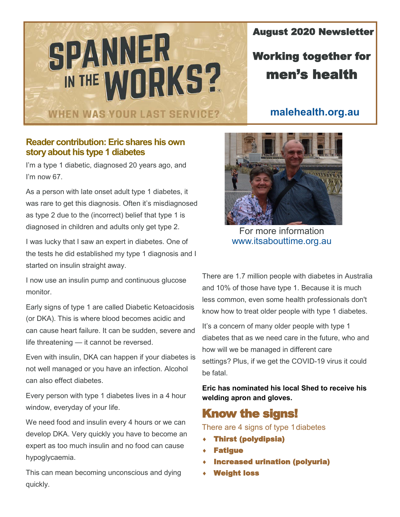# SPANNER IN THE WORKS? **WHEN WAS YOUR LAST SERVICE?**

August 2020 Newsletter

### Working together for men's health

#### **malehealth.org.au**

#### **Reader contribution: Eric shares his own story about his type 1 diabetes**

I'm a type 1 diabetic, diagnosed 20 years ago, and I'm now 67.

As a person with late onset adult type 1 diabetes, it was rare to get this diagnosis. Often it's misdiagnosed as type 2 due to the (incorrect) belief that type 1 is diagnosed in children and adults only get type 2.

I was lucky that I saw an expert in diabetes. One of the tests he did established my type 1 diagnosis and I started on insulin straight away.

I now use an insulin pump and continuous glucose monitor.

Early signs of type 1 are called Diabetic Ketoacidosis (or DKA). This is where blood becomes acidic and can cause heart failure. It can be sudden, severe and life threatening — it cannot be reversed.

Even with insulin, DKA can happen if your diabetes is not well managed or you have an infection. Alcohol can also effect diabetes.

Every person with type 1 diabetes lives in a 4 hour window, everyday of your life.

We need food and insulin every 4 hours or we can develop DKA. Very quickly you have to become an expert as too much insulin and no food can cause hypoglycaemia.

This can mean becoming unconscious and dying quickly.



For more information www.itsabouttime.org.au

There are 1.7 million people with diabetes in Australia and 10% of those have type 1. Because it is much less common, even some health professionals don't know how to treat older people with type 1 diabetes.

It's a concern of many older people with type 1 diabetes that as we need care in the future, who and how will we be managed in different care settings? Plus, if we get the COVID-19 virus it could be fatal.

**Eric has nominated his local Shed to receive his welding apron and gloves.**

#### Know the signs!

There are 4 signs of type 1diabetes

- Thirst (polydipsia)
- **Fatique**
- Increased urination (polyuria)
- Weight loss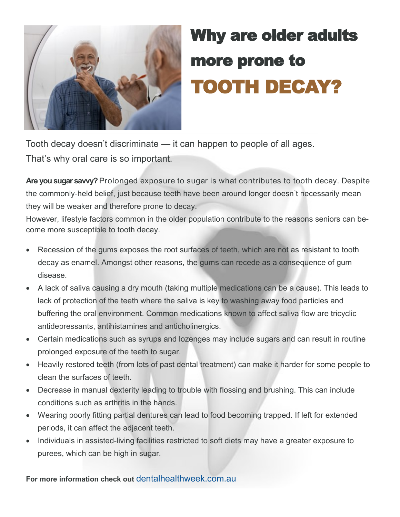

# Why are older adults more prone to TOOTH DECAY?

Tooth decay doesn't discriminate — it can happen to people of all ages. That's why oral care is so important.

**Are you sugar savvy?** Prolonged exposure to sugar is what contributes to tooth decay. Despite the commonly-held belief, just because teeth have been around longer doesn't necessarily mean they will be weaker and therefore prone to decay.

However, lifestyle factors common in the older population contribute to the reasons seniors can become more susceptible to tooth decay.

- Recession of the gums exposes the root surfaces of teeth, which are not as resistant to tooth decay as enamel. Amongst other reasons, the gums can recede as a consequence of gum disease.
- A lack of saliva causing a dry mouth (taking multiple medications can be a cause). This leads to lack of protection of the teeth where the saliva is key to washing away food particles and buffering the oral environment. Common medications known to affect saliva flow are tricyclic antidepressants, antihistamines and anticholinergics.
- Certain medications such as syrups and lozenges may include sugars and can result in routine prolonged exposure of the teeth to sugar.
- Heavily restored teeth (from lots of past dental treatment) can make it harder for some people to clean the surfaces of teeth.
- Decrease in manual dexterity leading to trouble with flossing and brushing. This can include conditions such as arthritis in the hands.
- Wearing poorly fitting partial dentures can lead to food becoming trapped. If left for extended periods, it can affect the adjacent teeth.
- Individuals in assisted-living facilities restricted to soft diets may have a greater exposure to purees, which can be high in sugar.

**For more information check out** dentalhealthweek.com.au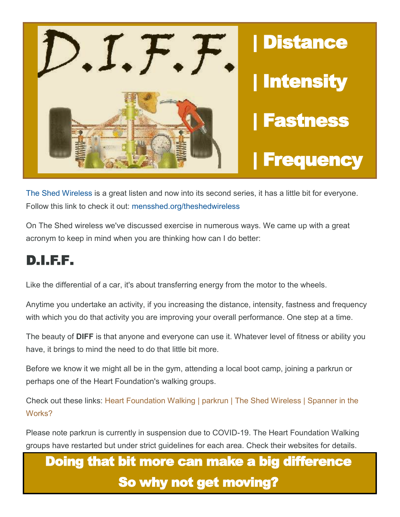

The Shed Wireless is a great listen and now into its second series, it has a little bit for everyone. Follow this link to check it out: mensshed.org/theshedwireless

On The Shed wireless we've discussed exercise in numerous ways. We came up with a great acronym to keep in mind when you are thinking how can I do better:

## D.I.F.F.

Like the differential of a car, it's about transferring energy from the motor to the wheels.

Anytime you undertake an activity, if you increasing the distance, intensity, fastness and frequency with which you do that activity you are improving your overall performance. One step at a time.

The beauty of **DIFF** is that anyone and everyone can use it. Whatever level of fitness or ability you have, it brings to mind the need to do that little bit more.

Before we know it we might all be in the gym, attending a local boot camp, joining a parkrun or perhaps one of the Heart Foundation's walking groups.

Check out these links: Heart Foundation Walking | parkrun | The Shed Wireless | Spanner in the Works?

Please note parkrun is currently in suspension due to COVID-19. The Heart Foundation Walking groups have restarted but under strict guidelines for each area. Check their websites for details.

## Doing that bit more can make a big difference So why not get moving?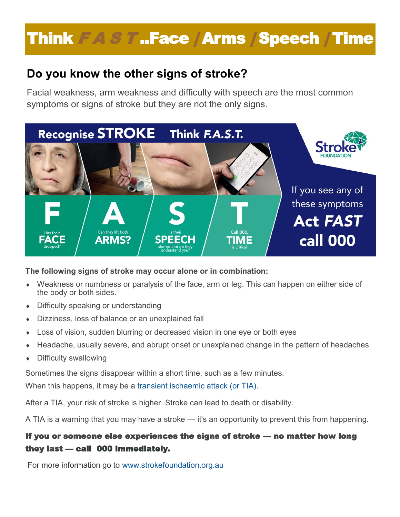# Think F A S T ..Face | Arms | Speech | Time

### **Do you know the other signs of stroke?**

Facial weakness, arm weakness and difficulty with speech are the most common symptoms or signs of stroke but they are not the only signs.



**The following signs of stroke may occur alone or in combination:**

- Weakness or numbness or paralysis of the face, arm or leg. This can happen on either side of the body or both sides.
- Difficulty speaking or understanding
- Dizziness, loss of balance or an unexplained fall
- Loss of vision, sudden blurring or decreased vision in one eye or both eyes
- Headache, usually severe, and abrupt onset or unexplained change in the pattern of headaches
- Difficulty swallowing

Sometimes the signs disappear within a short time, such as a few minutes.

When this happens, it may be a transient ischaemic attack (or TIA).

After a TIA, your risk of stroke is higher. Stroke can lead to death or disability.

A TIA is a warning that you may have a stroke — it's an opportunity to prevent this from happening.

#### If you or someone else experiences the signs of stroke — no matter how long they last — call 000 immediately.

For more information go to www.strokefoundation.org.au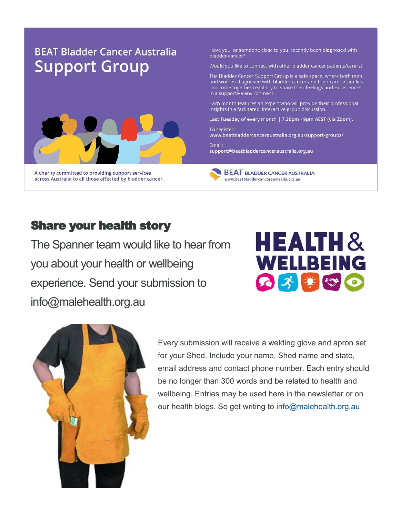### **BEAT Bladder Cancer Australia Support Group**



A charity committed to providing support services across Australia to all those affected by bladder cancer. Have you, or someone close to you, recently been diagnosed with bladder cancer?

Would you like to connect with other bladder cancer patients/carers?

The Bladder Cancer Support Group is a safe space, where both men and women diagnosed with bladder cancer and their carers/families can come together regularly to share their feelings and experiences in a supportive environment.

Each month features an expert who will provide their professional insights in a facilitated, interactive group discussion.

Last Tuesday of every month | 7.30pm - 9pm AEST (via Zoom).

To register: www.beatbladdercanceraustralia.org.au/support-groups/

Email: support@beatbladdercanceraustralia.org.au

**BEAT BLADDER CANCER AUSTRALIA** www.beatbladdercanceraustralia.org.au

#### **Share your health story**

The Spanner team would like to hear from you about your health or wellbeing experience. Send your submission to info@malehealth.org.au





Every submission will receive a welding glove and apron set for your Shed. Include your name, Shed name and state, email address and contact phone number. Each entry should be no longer than 300 words and be related to health and wellbeing. Entries may be used here in the newsletter or on our health blogs. So get writing to info@malehealth.org.au